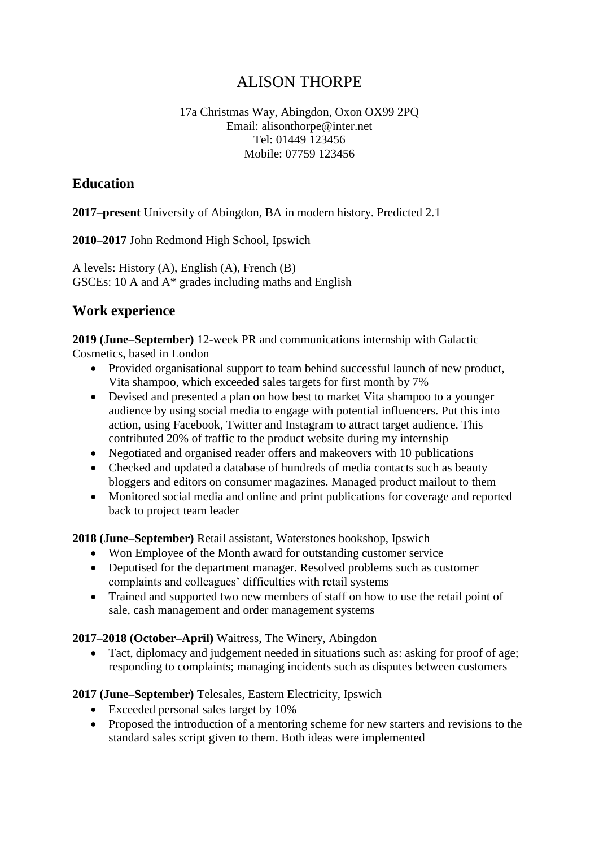# ALISON THORPE

#### 17a Christmas Way, Abingdon, Oxon OX99 2PQ Email: alisonthorpe@inter.net Tel: 01449 123456 Mobile: 07759 123456

### **Education**

**2017–present** University of Abingdon, BA in modern history. Predicted 2.1

**2010–2017** John Redmond High School, Ipswich

A levels: History (A), English (A), French (B) GSCEs: 10 A and A\* grades including maths and English

## **Work experience**

**2019 (June–September)** 12-week PR and communications internship with Galactic Cosmetics, based in London

- Provided organisational support to team behind successful launch of new product, Vita shampoo, which exceeded sales targets for first month by 7%
- Devised and presented a plan on how best to market Vita shampoo to a younger audience by using social media to engage with potential influencers. Put this into action, using Facebook, Twitter and Instagram to attract target audience. This contributed 20% of traffic to the product website during my internship
- Negotiated and organised reader offers and make overs with 10 publications
- Checked and updated a database of hundreds of media contacts such as beauty bloggers and editors on consumer magazines. Managed product mailout to them
- Monitored social media and online and print publications for coverage and reported back to project team leader

**2018 (June–September)** Retail assistant, Waterstones bookshop, Ipswich

- Won Employee of the Month award for outstanding customer service
- Deputised for the department manager. Resolved problems such as customer complaints and colleagues' difficulties with retail systems
- Trained and supported two new members of staff on how to use the retail point of sale, cash management and order management systems

### **2017–2018 (October–April)** Waitress, The Winery, Abingdon

• Tact, diplomacy and judgement needed in situations such as: asking for proof of age; responding to complaints; managing incidents such as disputes between customers

#### **2017 (June–September)** Telesales, Eastern Electricity, Ipswich

- Exceeded personal sales target by 10%
- Proposed the introduction of a mentoring scheme for new starters and revisions to the standard sales script given to them. Both ideas were implemented